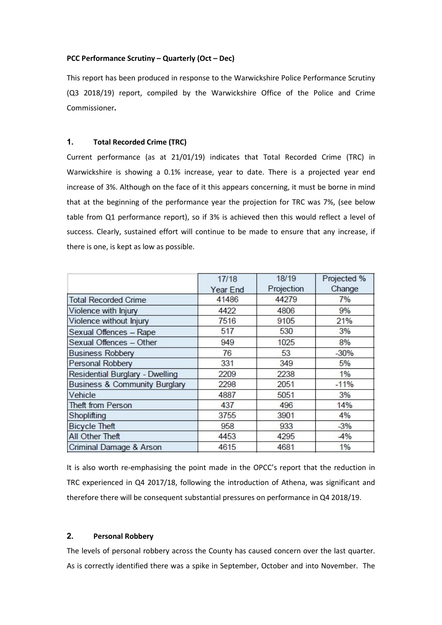#### PCC Performance Scrutiny – Quarterly (Oct – Dec)

This report has been produced in response to the Warwickshire Police Performance Scrutiny (Q3 2018/19) report, compiled by the Warwickshire Office of the Police and Crime Commissioner.

# 1. Total Recorded Crime (TRC)

Current performance (as at 21/01/19) indicates that Total Recorded Crime (TRC) in Warwickshire is showing a 0.1% increase, year to date. There is a projected year end increase of 3%. Although on the face of it this appears concerning, it must be borne in mind that at the beginning of the performance year the projection for TRC was 7%, (see below table from Q1 performance report), so if 3% is achieved then this would reflect a level of success. Clearly, sustained effort will continue to be made to ensure that any increase, if there is one, is kept as low as possible.

|                                          | 17/18           | 18/19      | Projected % |
|------------------------------------------|-----------------|------------|-------------|
|                                          | <b>Year End</b> | Projection | Change      |
| <b>Total Recorded Crime</b>              | 41486           | 44279      | 7%          |
| Violence with Injury                     | 4422            | 4806       | 9%          |
| Violence without Injury                  | 7516            | 9105       | 21%         |
| Sexual Offences - Rape                   | 517             | 530        | 3%          |
| Sexual Offences - Other                  | 949             | 1025       | 8%          |
| <b>Business Robbery</b>                  | 76              | 53         | $-30%$      |
| Personal Robbery                         | 331             | 349        | 5%          |
| Residential Burglary - Dwelling          | 2209            | 2238       | 1%          |
| <b>Business &amp; Community Burglary</b> | 2298            | 2051       | $-11%$      |
| Vehicle                                  | 4887            | 5051       | 3%          |
| <b>Theft from Person</b>                 | 437             | 496        | 14%         |
| Shoplifting                              | 3755            | 3901       | 4%          |
| <b>Bicycle Theft</b>                     | 958             | 933        | $-3%$       |
| All Other Theft                          | 4453            | 4295       | $-4%$       |
| Criminal Damage & Arson                  | 4615            | 4681       | 1%          |

It is also worth re-emphasising the point made in the OPCC's report that the reduction in TRC experienced in Q4 2017/18, following the introduction of Athena, was significant and therefore there will be consequent substantial pressures on performance in Q4 2018/19.

# 2. Personal Robbery

The levels of personal robbery across the County has caused concern over the last quarter. As is correctly identified there was a spike in September, October and into November. The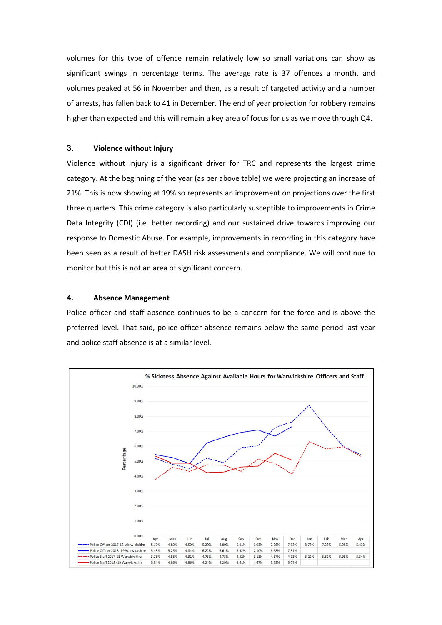volumes for this type of offence remain relatively low so small variations can show as significant swings in percentage terms. The average rate is 37 offences a month, and volumes peaked at 56 in November and then, as a result of targeted activity and a number of arrests, has fallen back to 41 in December. The end of year projection for robbery remains higher than expected and this will remain a key area of focus for us as we move through Q4.

### 3. Violence without Injury

Violence without injury is a significant driver for TRC and represents the largest crime category. At the beginning of the year (as per above table) we were projecting an increase of 21%. This is now showing at 19% so represents an improvement on projections over the first three quarters. This crime category is also particularly susceptible to improvements in Crime Data Integrity (CDI) (i.e. better recording) and our sustained drive towards improving our response to Domestic Abuse. For example, improvements in recording in this category have been seen as a result of better DASH risk assessments and compliance. We will continue to monitor but this is not an area of significant concern.

### 4. Absence Management

Police officer and staff absence continues to be a concern for the force and is above the preferred level. That said, police officer absence remains below the same period last year and police staff absence is at a similar level.

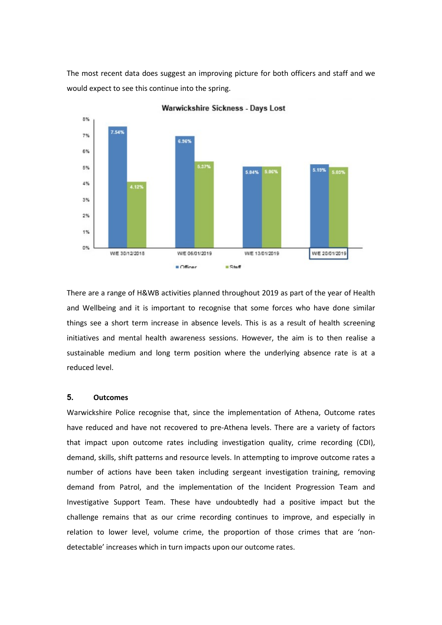The most recent data does suggest an improving picture for both officers and staff and we would expect to see this continue into the spring.



Warwickshire Sickness - Days Lost

There are a range of H&WB activities planned throughout 2019 as part of the year of Health and Wellbeing and it is important to recognise that some forces who have done similar things see a short term increase in absence levels. This is as a result of health screening initiatives and mental health awareness sessions. However, the aim is to then realise a sustainable medium and long term position where the underlying absence rate is at a reduced level.

### 5. Outcomes

Warwickshire Police recognise that, since the implementation of Athena, Outcome rates have reduced and have not recovered to pre-Athena levels. There are a variety of factors that impact upon outcome rates including investigation quality, crime recording (CDI), demand, skills, shift patterns and resource levels. In attempting to improve outcome rates a number of actions have been taken including sergeant investigation training, removing demand from Patrol, and the implementation of the Incident Progression Team and Investigative Support Team. These have undoubtedly had a positive impact but the challenge remains that as our crime recording continues to improve, and especially in relation to lower level, volume crime, the proportion of those crimes that are 'nondetectable' increases which in turn impacts upon our outcome rates.